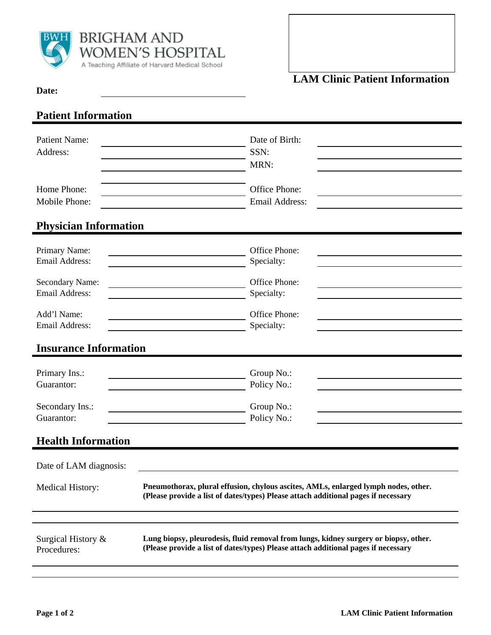

## **Date:**

## **Patient Information**

| <b>Patient Name:</b><br>Address:         | Date of Birth:<br>SSN:<br>MRN:                                                                                                                                             |  |  |
|------------------------------------------|----------------------------------------------------------------------------------------------------------------------------------------------------------------------------|--|--|
| Home Phone:<br>Mobile Phone:             | Office Phone:<br><b>Email Address:</b>                                                                                                                                     |  |  |
| <b>Physician Information</b>             |                                                                                                                                                                            |  |  |
| Primary Name:<br><b>Email Address:</b>   | Office Phone:<br>Specialty:                                                                                                                                                |  |  |
| Secondary Name:<br><b>Email Address:</b> | Office Phone:<br>Specialty:                                                                                                                                                |  |  |
| Add'l Name:<br>Email Address:            | Office Phone:<br>Specialty:                                                                                                                                                |  |  |
| <b>Insurance Information</b>             |                                                                                                                                                                            |  |  |
| Primary Ins.:<br>Guarantor:              | Group No.:<br>Policy No.:                                                                                                                                                  |  |  |
| Secondary Ins.:<br>Guarantor:            | Group No.:<br>Policy No.:                                                                                                                                                  |  |  |
| <b>Health Information</b>                |                                                                                                                                                                            |  |  |
| Date of LAM diagnosis:                   |                                                                                                                                                                            |  |  |
| <b>Medical History:</b>                  | Pneumothorax, plural effusion, chylous ascites, AMLs, enlarged lymph nodes, other.<br>(Please provide a list of dates/types) Please attach additional pages if necessary   |  |  |
| Surgical History &<br>Procedures:        | Lung biopsy, pleurodesis, fluid removal from lungs, kidney surgery or biopsy, other.<br>(Please provide a list of dates/types) Please attach additional pages if necessary |  |  |